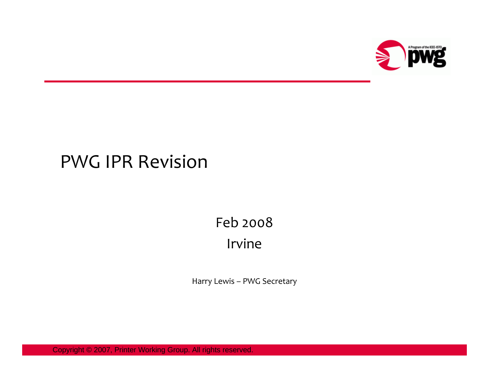

### PWG IPR Revision

### Feb 2008 Irvine

Harry Lewis – PWG Secretary

Copyright © 2007, Printer Working Group. All rights reserved.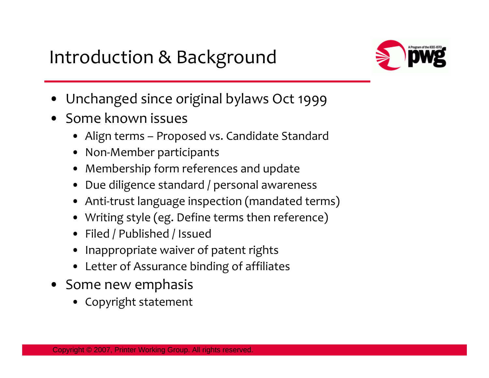Introduction & Background



- Unchanged since original bylaws Oct 1999
- • Some known issues
	- Align terms Proposed vs. Candidate Standard
	- •Non-Member participants
	- •Membership form references and update
	- •Due diligence standard / personal awareness
	- •Anti-trust language inspection (mandated terms)
	- •Writing style (eg. Define terms then reference)
	- Filed / Published / Issued
	- •Inappropriate waiver of patent rights
	- Letter of Assurance binding of affiliates
- Some new emphasis
	- Copyright statement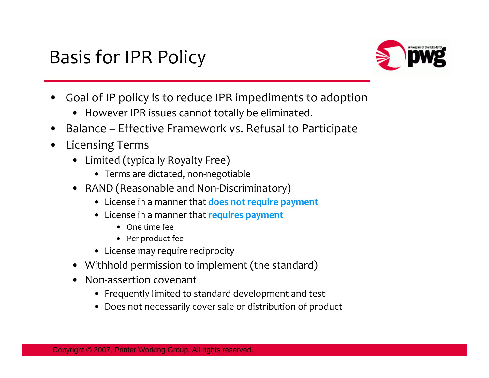# Basis for IPR Policy



- • Goal of IP policy is to reduce IPR impediments to adoption
	- •However IPR issues cannot totally be eliminated.
- •Balance – Effective Framework vs. Refusal to Participate
- • Licensing Terms
	- $\bullet$  Limited (typically Royalty Free)
		- Terms are dictated, non-negotiable
	- RAND (Reasonable and Non-Discriminatory)
		- License in a manner that **does not require payment**
		- License in a manner that **requires payment**
			- One time fee
			- Per product fee
		- License may require reciprocity
	- Withhold permission to implement (the standard)
	- • Non-assertion covenant
		- Frequently limited to standard development and test
		- Does not necessarily cover sale or distribution of product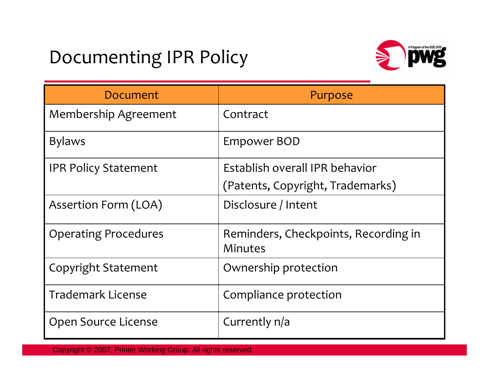## Documenting IPR Policy



| Document                    | Purpose                                         |
|-----------------------------|-------------------------------------------------|
| <b>Membership Agreement</b> | Contract                                        |
| <b>Bylaws</b>               | Empower BOD                                     |
| <b>IPR Policy Statement</b> | Establish overall IPR behavior                  |
|                             | (Patents, Copyright, Trademarks)                |
| Assertion Form (LOA)        | Disclosure / Intent                             |
| <b>Operating Procedures</b> | Reminders, Checkpoints, Recording in<br>Minutes |
| Copyright Statement         | Ownership protection                            |
| <b>Trademark License</b>    | Compliance protection                           |
| Open Source License         | Currently n/a                                   |

Copyright © 2007, Printer Working Group. All rights reserved.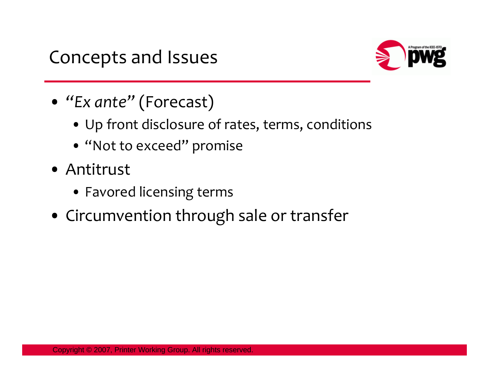

- *"Ex ante"* (Forecast)
	- Up front disclosure of rates, terms, conditions
	- "Not to exceed" promise
- Antitrust
	- Favored licensing terms
- Circumvention through sale or transfer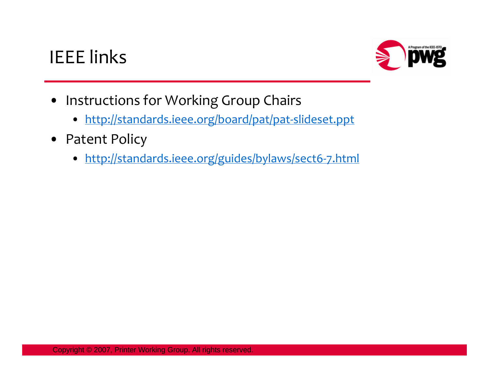## IEEE links



- Instructions for Working Group Chairs
	- <http://standards.ieee.org/board/pat/pat-slideset.ppt>
- Patent Policy
	- <http://standards.ieee.org/guides/bylaws/sect6-7.html>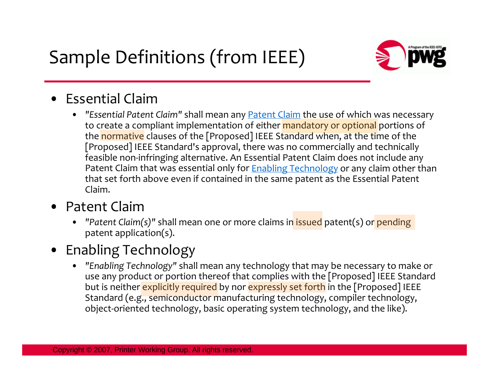Sample Definitions (from IEEE)



#### • Essential Claim

• *"Essential Patent Claim"* shall mean any [Patent Claim](http://standards.ieee.org/guides/bylaws/sect6-7.html#patent-claim) the use of which was necessary to create a compliant implementation of either **mandatory or optional** portions of the normative clauses of the [Proposed] IEEE Standard when, at the time of the [Proposed] IEEE Standard's approval, there was no commercially and technically feasible non-infringing alternative. An Essential Patent Claim does not include any Patent Claim that was essential only for **Enabling Technology** or any claim other than that set forth above even if contained in the same patent as the Essential Patent Claim.

#### • Patent Claim

• *"Patent Claim(s)"* shall mean one or more claims in issued patent(s) or pending patent application(s).

#### • Enabling Technology

• *"Enabling Technology"* shall mean any technology that may be necessary to make or use any product or portion thereof that complies with the [Proposed] IEEE Standard but is neither explicitly required by nor expressly set forth in the [Proposed] IEEE Standard (e.g., semiconductor manufacturing technology, compiler technology, object-oriented technology, basic operating system technology, and the like).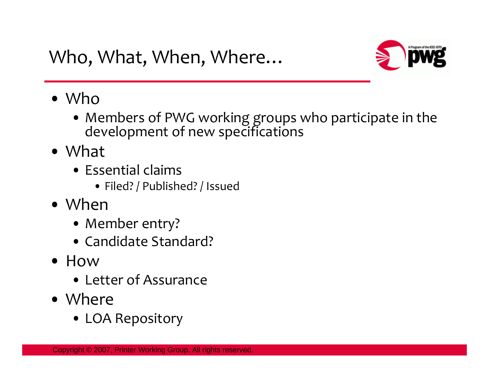

- Who
	- Members of PWG working groups who participate in the development of new specifications
- What
	- Essential claims
		- Filed? / Published? / Issued
- When
	- Member entry?
	- Candidate Standard?
- How
	- Letter of Assurance
- Where
	- LOA Repository